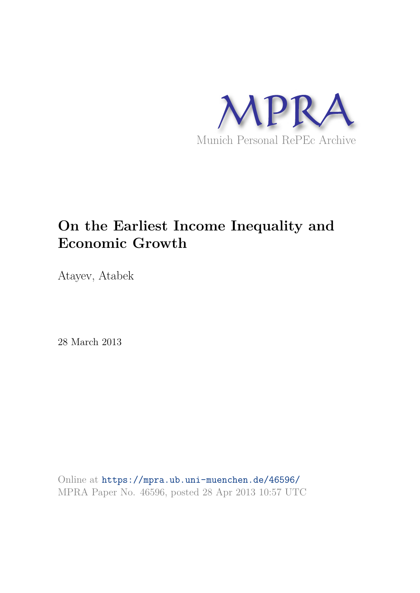

# **On the Earliest Income Inequality and Economic Growth**

Atayev, Atabek

28 March 2013

Online at https://mpra.ub.uni-muenchen.de/46596/ MPRA Paper No. 46596, posted 28 Apr 2013 10:57 UTC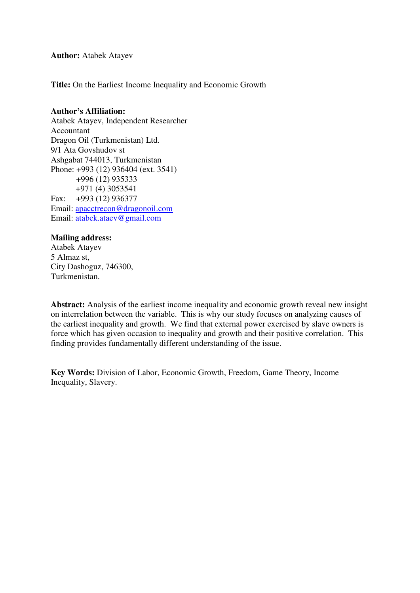**Author:** Atabek Atayev

**Title:** On the Earliest Income Inequality and Economic Growth

#### **Author's Affiliation:**

Atabek Atayev, Independent Researcher Accountant Dragon Oil (Turkmenistan) Ltd. 9/1 Ata Govshudov st Ashgabat 744013, Turkmenistan Phone: +993 (12) 936404 (ext. 3541) +996 (12) 935333 +971 (4) 3053541 Fax: +993 (12) 936377 Email: [apacctrecon@dragonoil.com](mailto:apacctrecon@dragonoil.com) Email: [atabek.ataev@gmail.com](mailto:atabek.ataev@gmail.com) 

# **Mailing address:**

Atabek Atayev 5 Almaz st, City Dashoguz, 746300, Turkmenistan.

**Abstract:** Analysis of the earliest income inequality and economic growth reveal new insight on interrelation between the variable. This is why our study focuses on analyzing causes of the earliest inequality and growth. We find that external power exercised by slave owners is force which has given occasion to inequality and growth and their positive correlation. This finding provides fundamentally different understanding of the issue.

**Key Words:** Division of Labor, Economic Growth, Freedom, Game Theory, Income Inequality, Slavery.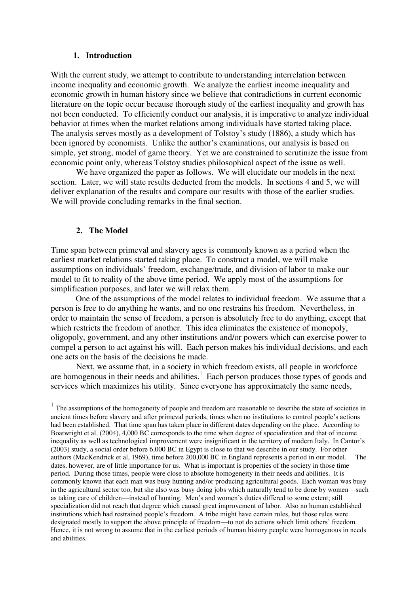#### **1. Introduction**

With the current study, we attempt to contribute to understanding interrelation between income inequality and economic growth. We analyze the earliest income inequality and economic growth in human history since we believe that contradictions in current economic literature on the topic occur because thorough study of the earliest inequality and growth has not been conducted. To efficiently conduct our analysis, it is imperative to analyze individual behavior at times when the market relations among individuals have started taking place. The analysis serves mostly as a development of Tolstoy's study (1886), a study which has been ignored by economists. Unlike the author's examinations, our analysis is based on simple, yet strong, model of game theory. Yet we are constrained to scrutinize the issue from economic point only, whereas Tolstoy studies philosophical aspect of the issue as well.

We have organized the paper as follows. We will elucidate our models in the next section. Later, we will state results deducted from the models. In sections 4 and 5, we will deliver explanation of the results and compare our results with those of the earlier studies. We will provide concluding remarks in the final section.

#### **2. The Model**

Time span between primeval and slavery ages is commonly known as a period when the earliest market relations started taking place. To construct a model, we will make assumptions on individuals' freedom, exchange/trade, and division of labor to make our model to fit to reality of the above time period. We apply most of the assumptions for simplification purposes, and later we will relax them.

One of the assumptions of the model relates to individual freedom. We assume that a person is free to do anything he wants, and no one restrains his freedom. Nevertheless, in order to maintain the sense of freedom, a person is absolutely free to do anything, except that which restricts the freedom of another. This idea eliminates the existence of monopoly, oligopoly, government, and any other institutions and/or powers which can exercise power to compel a person to act against his will. Each person makes his individual decisions, and each one acts on the basis of the decisions he made.

Next, we assume that, in a society in which freedom exists, all people in workforce are homogenous in their needs and abilities. $<sup>1</sup>$  Each person produces those types of goods and</sup> services which maximizes his utility. Since everyone has approximately the same needs,

<sup>&</sup>lt;sup>1</sup> The assumptions of the homogeneity of people and freedom are reasonable to describe the state of societies in ancient times before slavery and after primeval periods, times when no institutions to control people's actions had been established. That time span has taken place in different dates depending on the place. According to Boatwright et al. (2004), 4,000 BC corresponds to the time when degree of specialization and that of income inequality as well as technological improvement were insignificant in the territory of modern Italy. In Cantor's (2003) study, a social order before 6,000 BC in Egypt is close to that we describe in our study. For other authors (MacKendrick et al, 1969), time before 200,000 BC in England represents a period in our model. The dates, however, are of little importance for us. What is important is properties of the society in those time period. During those times, people were close to absolute homogeneity in their needs and abilities. It is commonly known that each man was busy hunting and/or producing agricultural goods. Each woman was busy in the agricultural sector too, but she also was busy doing jobs which naturally tend to be done by women—such as taking care of children—instead of hunting. Men's and women's duties differed to some extent; still specialization did not reach that degree which caused great improvement of labor. Also no human established institutions which had restrained people's freedom. A tribe might have certain rules, but those rules were designated mostly to support the above principle of freedom—to not do actions which limit others' freedom. Hence, it is not wrong to assume that in the earliest periods of human history people were homogenous in needs and abilities.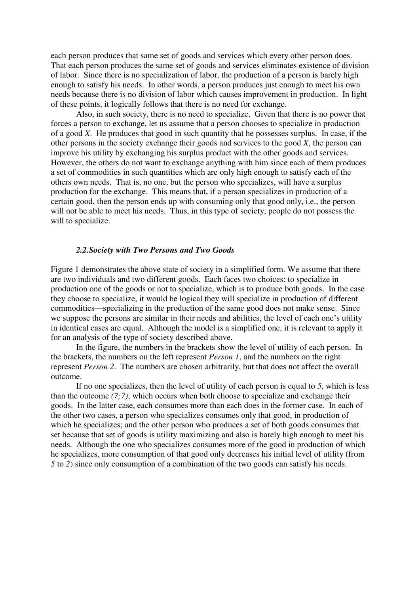each person produces that same set of goods and services which every other person does. That each person produces the same set of goods and services eliminates existence of division of labor. Since there is no specialization of labor, the production of a person is barely high enough to satisfy his needs. In other words, a person produces just enough to meet his own needs because there is no division of labor which causes improvement in production. In light of these points, it logically follows that there is no need for exchange.

Also, in such society, there is no need to specialize. Given that there is no power that forces a person to exchange, let us assume that a person chooses to specialize in production of a good *X*. He produces that good in such quantity that he possesses surplus. In case, if the other persons in the society exchange their goods and services to the good *X*, the person can improve his utility by exchanging his surplus product with the other goods and services. However, the others do not want to exchange anything with him since each of them produces a set of commodities in such quantities which are only high enough to satisfy each of the others own needs. That is, no one, but the person who specializes, will have a surplus production for the exchange. This means that, if a person specializes in production of a certain good, then the person ends up with consuming only that good only, i.e., the person will not be able to meet his needs. Thus, in this type of society, people do not possess the will to specialize.

# *2.2.Society with Two Persons and Two Goods*

Figure 1 demonstrates the above state of society in a simplified form. We assume that there are two individuals and two different goods. Each faces two choices: to specialize in production one of the goods or not to specialize, which is to produce both goods. In the case they choose to specialize, it would be logical they will specialize in production of different commodities—specializing in the production of the same good does not make sense. Since we suppose the persons are similar in their needs and abilities, the level of each one's utility in identical cases are equal. Although the model is a simplified one, it is relevant to apply it for an analysis of the type of society described above.

In the figure, the numbers in the brackets show the level of utility of each person. In the brackets, the numbers on the left represent *Person 1*, and the numbers on the right represent *Person 2*. The numbers are chosen arbitrarily, but that does not affect the overall outcome.

If no one specializes, then the level of utility of each person is equal to *5*, which is less than the outcome *(7;7)*, which occurs when both choose to specialize and exchange their goods. In the latter case, each consumes more than each does in the former case. In each of the other two cases, a person who specializes consumes only that good, in production of which he specializes; and the other person who produces a set of both goods consumes that set because that set of goods is utility maximizing and also is barely high enough to meet his needs. Although the one who specializes consumes more of the good in production of which he specializes, more consumption of that good only decreases his initial level of utility (from *5* to *2*) since only consumption of a combination of the two goods can satisfy his needs.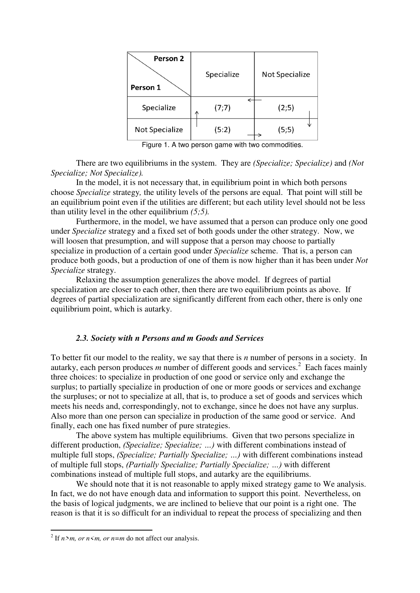| Person 2<br>Person 1 | Specialize | <b>Not Specialize</b> |
|----------------------|------------|-----------------------|
| Specialize           | (7;7)<br>∧ | (2;5)                 |
| Not Specialize       | (5:2)      | (5;5)                 |

Figure 1. A two person game with two commodities.

There are two equilibriums in the system. They are *(Specialize; Specialize)* and *(Not Specialize; Not Specialize).*

In the model, it is not necessary that, in equilibrium point in which both persons choose *Specialize* strategy*,* the utility levels of the persons are equal. That point will still be an equilibrium point even if the utilities are different; but each utility level should not be less than utility level in the other equilibrium *(5;5).*

Furthermore, in the model, we have assumed that a person can produce only one good under *Specialize* strategy and a fixed set of both goods under the other strategy. Now, we will loosen that presumption, and will suppose that a person may choose to partially specialize in production of a certain good under *Specialize* scheme. That is, a person can produce both goods, but a production of one of them is now higher than it has been under *Not Specialize* strategy.

Relaxing the assumption generalizes the above model. If degrees of partial specialization are closer to each other, then there are two equilibrium points as above. If degrees of partial specialization are significantly different from each other, there is only one equilibrium point, which is autarky.

# *2.3. Society with n Persons and m Goods and Services*

To better fit our model to the reality, we say that there is *n* number of persons in a society. In autarky, each person produces *m* number of different goods and services.<sup>2</sup> Each faces mainly three choices: to specialize in production of one good or service only and exchange the surplus; to partially specialize in production of one or more goods or services and exchange the surpluses; or not to specialize at all, that is, to produce a set of goods and services which meets his needs and, correspondingly, not to exchange, since he does not have any surplus. Also more than one person can specialize in production of the same good or service. And finally, each one has fixed number of pure strategies.

The above system has multiple equilibriums. Given that two persons specialize in different production, *(Specialize; Specialize; …)* with different combinations instead of multiple full stops, *(Specialize; Partially Specialize; …)* with different combinations instead of multiple full stops, *(Partially Specialize; Partially Specialize; …)* with different combinations instead of multiple full stops, and autarky are the equilibriums.

We should note that it is not reasonable to apply mixed strategy game to We analysis. In fact, we do not have enough data and information to support this point. Nevertheless, on the basis of logical judgments, we are inclined to believe that our point is a right one. The reason is that it is so difficult for an individual to repeat the process of specializing and then

-

<sup>&</sup>lt;sup>2</sup> If  $n>m$ , or  $n \le m$ , or  $n=m$  do not affect our analysis.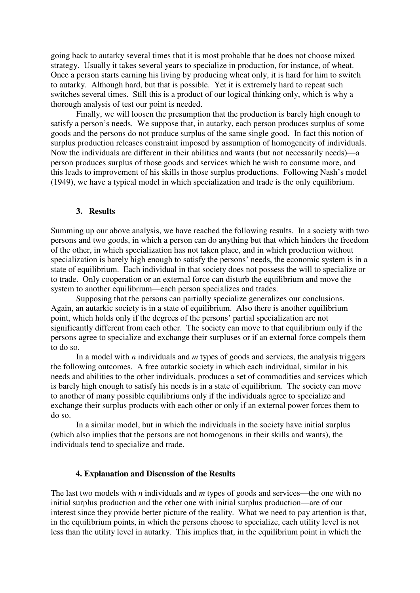going back to autarky several times that it is most probable that he does not choose mixed strategy. Usually it takes several years to specialize in production, for instance, of wheat. Once a person starts earning his living by producing wheat only, it is hard for him to switch to autarky. Although hard, but that is possible. Yet it is extremely hard to repeat such switches several times. Still this is a product of our logical thinking only, which is why a thorough analysis of test our point is needed.

Finally, we will loosen the presumption that the production is barely high enough to satisfy a person's needs. We suppose that, in autarky, each person produces surplus of some goods and the persons do not produce surplus of the same single good. In fact this notion of surplus production releases constraint imposed by assumption of homogeneity of individuals. Now the individuals are different in their abilities and wants (but not necessarily needs)—a person produces surplus of those goods and services which he wish to consume more, and this leads to improvement of his skills in those surplus productions. Following Nash's model (1949), we have a typical model in which specialization and trade is the only equilibrium.

#### **3. Results**

Summing up our above analysis, we have reached the following results. In a society with two persons and two goods, in which a person can do anything but that which hinders the freedom of the other, in which specialization has not taken place, and in which production without specialization is barely high enough to satisfy the persons' needs, the economic system is in a state of equilibrium. Each individual in that society does not possess the will to specialize or to trade. Only cooperation or an external force can disturb the equilibrium and move the system to another equilibrium—each person specializes and trades.

Supposing that the persons can partially specialize generalizes our conclusions. Again, an autarkic society is in a state of equilibrium. Also there is another equilibrium point, which holds only if the degrees of the persons' partial specialization are not significantly different from each other. The society can move to that equilibrium only if the persons agree to specialize and exchange their surpluses or if an external force compels them to do so.

In a model with *n* individuals and *m* types of goods and services, the analysis triggers the following outcomes. A free autarkic society in which each individual, similar in his needs and abilities to the other individuals, produces a set of commodities and services which is barely high enough to satisfy his needs is in a state of equilibrium. The society can move to another of many possible equilibriums only if the individuals agree to specialize and exchange their surplus products with each other or only if an external power forces them to do so.

In a similar model, but in which the individuals in the society have initial surplus (which also implies that the persons are not homogenous in their skills and wants), the individuals tend to specialize and trade.

#### **4. Explanation and Discussion of the Results**

The last two models with *n* individuals and *m* types of goods and services—the one with no initial surplus production and the other one with initial surplus production—are of our interest since they provide better picture of the reality. What we need to pay attention is that, in the equilibrium points, in which the persons choose to specialize, each utility level is not less than the utility level in autarky. This implies that, in the equilibrium point in which the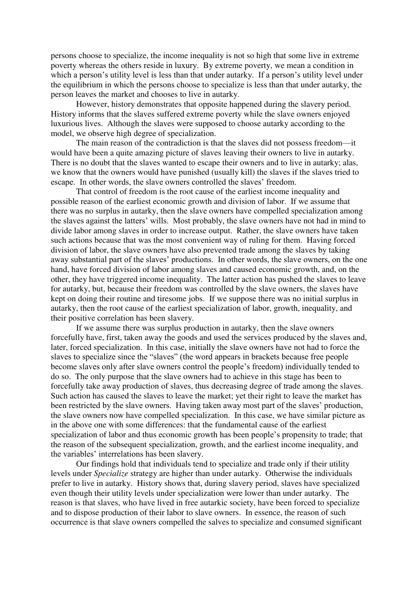persons choose to specialize, the income inequality is not so high that some live in extreme poverty whereas the others reside in luxury. By extreme poverty, we mean a condition in which a person's utility level is less than that under autarky. If a person's utility level under the equilibrium in which the persons choose to specialize is less than that under autarky, the person leaves the market and chooses to live in autarky.

However, history demonstrates that opposite happened during the slavery period. History informs that the slaves suffered extreme poverty while the slave owners enjoyed luxurious lives. Although the slaves were supposed to choose autarky according to the model, we observe high degree of specialization.

The main reason of the contradiction is that the slaves did not possess freedom—it would have been a quite amazing picture of slaves leaving their owners to live in autarky. There is no doubt that the slaves wanted to escape their owners and to live in autarky; alas, we know that the owners would have punished (usually kill) the slaves if the slaves tried to escape. In other words, the slave owners controlled the slaves' freedom.

That control of freedom is the root cause of the earliest income inequality and possible reason of the earliest economic growth and division of labor. If we assume that there was no surplus in autarky, then the slave owners have compelled specialization among the slaves against the latters' wills. Most probably, the slave owners have not had in mind to divide labor among slaves in order to increase output. Rather, the slave owners have taken such actions because that was the most convenient way of ruling for them. Having forced division of labor, the slave owners have also prevented trade among the slaves by taking away substantial part of the slaves' productions. In other words, the slave owners, on the one hand, have forced division of labor among slaves and caused economic growth, and, on the other, they have triggered income inequality. The latter action has pushed the slaves to leave for autarky, but, because their freedom was controlled by the slave owners, the slaves have kept on doing their routine and tiresome jobs. If we suppose there was no initial surplus in autarky, then the root cause of the earliest specialization of labor, growth, inequality, and their positive correlation has been slavery.

If we assume there was surplus production in autarky, then the slave owners forcefully have, first, taken away the goods and used the services produced by the slaves and, later, forced specialization. In this case, initially the slave owners have not had to force the slaves to specialize since the "slaves" (the word appears in brackets because free people become slaves only after slave owners control the people's freedom) individually tended to do so. The only purpose that the slave owners had to achieve in this stage has been to forcefully take away production of slaves, thus decreasing degree of trade among the slaves. Such action has caused the slaves to leave the market; yet their right to leave the market has been restricted by the slave owners. Having taken away most part of the slaves' production, the slave owners now have compelled specialization. In this case, we have similar picture as in the above one with some differences: that the fundamental cause of the earliest specialization of labor and thus economic growth has been people's propensity to trade; that the reason of the subsequent specialization, growth, and the earliest income inequality, and the variables' interrelations has been slavery.

Our findings hold that individuals tend to specialize and trade only if their utility levels under *Specialize* strategy are higher than under autarky. Otherwise the individuals prefer to live in autarky. History shows that, during slavery period, slaves have specialized even though their utility levels under specialization were lower than under autarky. The reason is that slaves, who have lived in free autarkic society, have been forced to specialize and to dispose production of their labor to slave owners. In essence, the reason of such occurrence is that slave owners compelled the salves to specialize and consumed significant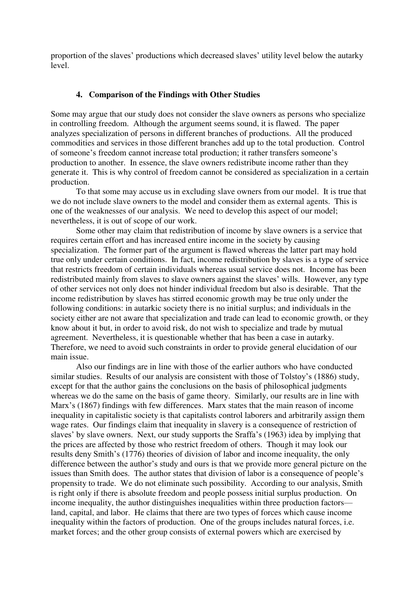proportion of the slaves' productions which decreased slaves' utility level below the autarky level.

#### **4. Comparison of the Findings with Other Studies**

Some may argue that our study does not consider the slave owners as persons who specialize in controlling freedom. Although the argument seems sound, it is flawed. The paper analyzes specialization of persons in different branches of productions. All the produced commodities and services in those different branches add up to the total production. Control of someone's freedom cannot increase total production; it rather transfers someone's production to another. In essence, the slave owners redistribute income rather than they generate it. This is why control of freedom cannot be considered as specialization in a certain production.

To that some may accuse us in excluding slave owners from our model. It is true that we do not include slave owners to the model and consider them as external agents. This is one of the weaknesses of our analysis. We need to develop this aspect of our model; nevertheless, it is out of scope of our work.

Some other may claim that redistribution of income by slave owners is a service that requires certain effort and has increased entire income in the society by causing specialization. The former part of the argument is flawed whereas the latter part may hold true only under certain conditions. In fact, income redistribution by slaves is a type of service that restricts freedom of certain individuals whereas usual service does not. Income has been redistributed mainly from slaves to slave owners against the slaves' wills. However, any type of other services not only does not hinder individual freedom but also is desirable. That the income redistribution by slaves has stirred economic growth may be true only under the following conditions: in autarkic society there is no initial surplus; and individuals in the society either are not aware that specialization and trade can lead to economic growth, or they know about it but, in order to avoid risk, do not wish to specialize and trade by mutual agreement. Nevertheless, it is questionable whether that has been a case in autarky. Therefore, we need to avoid such constraints in order to provide general elucidation of our main issue.

Also our findings are in line with those of the earlier authors who have conducted similar studies. Results of our analysis are consistent with those of Tolstoy's (1886) study, except for that the author gains the conclusions on the basis of philosophical judgments whereas we do the same on the basis of game theory. Similarly, our results are in line with Marx's (1867) findings with few differences. Marx states that the main reason of income inequality in capitalistic society is that capitalists control laborers and arbitrarily assign them wage rates. Our findings claim that inequality in slavery is a consequence of restriction of slaves' by slave owners. Next, our study supports the Sraffa's (1963) idea by implying that the prices are affected by those who restrict freedom of others. Though it may look our results deny Smith's (1776) theories of division of labor and income inequality, the only difference between the author's study and ours is that we provide more general picture on the issues than Smith does. The author states that division of labor is a consequence of people's propensity to trade. We do not eliminate such possibility. According to our analysis, Smith is right only if there is absolute freedom and people possess initial surplus production. On income inequality, the author distinguishes inequalities within three production factors land, capital, and labor. He claims that there are two types of forces which cause income inequality within the factors of production. One of the groups includes natural forces, i.e. market forces; and the other group consists of external powers which are exercised by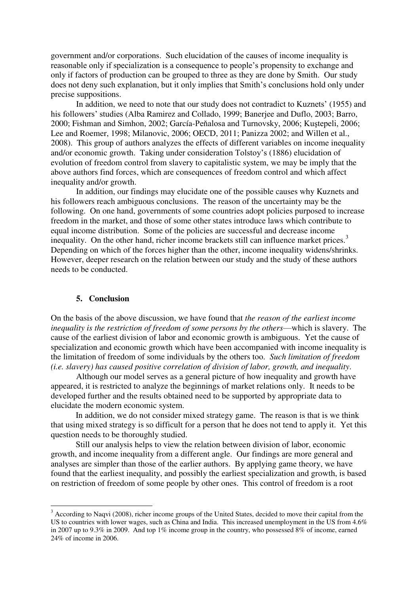government and/or corporations. Such elucidation of the causes of income inequality is reasonable only if specialization is a consequence to people's propensity to exchange and only if factors of production can be grouped to three as they are done by Smith. Our study does not deny such explanation, but it only implies that Smith's conclusions hold only under precise suppositions.

In addition, we need to note that our study does not contradict to Kuznets' (1955) and his followers' studies (Alba Ramirez and Collado, 1999; Banerjee and Duflo, 2003; Barro, 2000; Fishman and Simhon, 2002; García-Peňalosa and Turnovsky, 2006; Kuştepeli, 2006; Lee and Roemer, 1998; Milanovic, 2006; OECD, 2011; Panizza 2002; and Willen et al., 2008). This group of authors analyzes the effects of different variables on income inequality and/or economic growth. Taking under consideration Tolstoy's (1886) elucidation of evolution of freedom control from slavery to capitalistic system, we may be imply that the above authors find forces, which are consequences of freedom control and which affect inequality and/or growth.

In addition, our findings may elucidate one of the possible causes why Kuznets and his followers reach ambiguous conclusions. The reason of the uncertainty may be the following. On one hand, governments of some countries adopt policies purposed to increase freedom in the market, and those of some other states introduce laws which contribute to equal income distribution. Some of the policies are successful and decrease income inequality. On the other hand, richer income brackets still can influence market prices.<sup>3</sup> Depending on which of the forces higher than the other, income inequality widens/shrinks. However, deeper research on the relation between our study and the study of these authors needs to be conducted.

#### **5. Conclusion**

-

On the basis of the above discussion, we have found that *the reason of the earliest income inequality is the restriction of freedom of some persons by the others*—which is slavery. The cause of the earliest division of labor and economic growth is ambiguous. Yet the cause of specialization and economic growth which have been accompanied with income inequality is the limitation of freedom of some individuals by the others too. *Such limitation of freedom (i.e. slavery) has caused positive correlation of division of labor, growth, and inequality*.

Although our model serves as a general picture of how inequality and growth have appeared, it is restricted to analyze the beginnings of market relations only. It needs to be developed further and the results obtained need to be supported by appropriate data to elucidate the modern economic system.

In addition, we do not consider mixed strategy game. The reason is that is we think that using mixed strategy is so difficult for a person that he does not tend to apply it. Yet this question needs to be thoroughly studied.

Still our analysis helps to view the relation between division of labor, economic growth, and income inequality from a different angle. Our findings are more general and analyses are simpler than those of the earlier authors. By applying game theory, we have found that the earliest inequality, and possibly the earliest specialization and growth, is based on restriction of freedom of some people by other ones. This control of freedom is a root

<sup>&</sup>lt;sup>3</sup> According to Naqvi (2008), richer income groups of the United States, decided to move their capital from the US to countries with lower wages, such as China and India. This increased unemployment in the US from 4.6% in 2007 up to 9.3% in 2009. And top 1% income group in the country, who possessed 8% of income, earned 24% of income in 2006.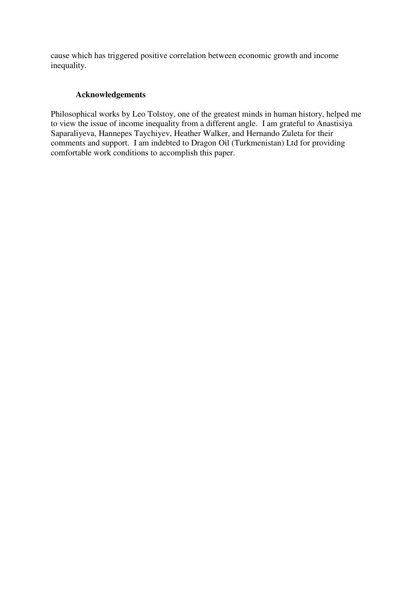cause which has triggered positive correlation between economic growth and income inequality.

# **Acknowledgements**

Philosophical works by Leo Tolstoy, one of the greatest minds in human history, helped me to view the issue of income inequality from a different angle. I am grateful to Anastisiya Saparaliyeva, Hannepes Taychiyev, Heather Walker, and Hernando Zuleta for their comments and support. I am indebted to Dragon Oil (Turkmenistan) Ltd for providing comfortable work conditions to accomplish this paper.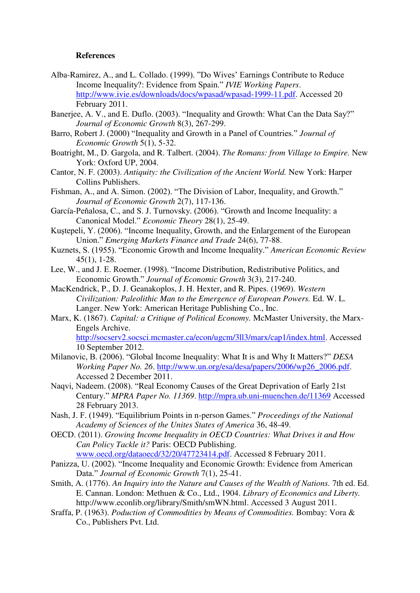#### **References**

- Alba-Ramirez, A., and L. Collado. (1999). "Do Wives' Earnings Contribute to Reduce Income Inequality?: Evidence from Spain." *IVIE Working Papers*. [http://www.ivie.es/downloads/docs/wpasad/wpasad-1999-11.pdf.](http://www.ivie.es/downloads/docs/wpasad/wpasad-1999-11.pdf) Accessed 20 February 2011.
- Banerjee, A. V., and E. Duflo. (2003). "Inequality and Growth: What Can the Data Say?" *Journal of Economic Growth* 8(3), 267-299.
- Barro, Robert J. (2000) "Inequality and Growth in a Panel of Countries." *Journal of Economic Growth* 5(1), 5-32.
- Boatright, M., D. Gargola, and R. Talbert. (2004). *The Romans: from Village to Empire.* New York: Oxford UP, 2004.
- Cantor, N. F. (2003). *Antiquity: the Civilization of the Ancient World.* New York: Harper Collins Publishers.
- Fishman, A., and A. Simon. (2002). "The Division of Labor, Inequality, and Growth." *Journal of Economic Growth* 2(7), 117-136.
- García-Peňalosa, C., and S. J. Turnovsky. (2006). "Growth and Income Inequality: a Canonical Model." *Economic Theory* 28(1), 25-49.
- Kuştepeli, Y. (2006). "Income Inequality, Growth, and the Enlargement of the European Union." *Emerging Markets Finance and Trade* 24(6), 77-88.
- Kuznets, S. (1955). "Economic Growth and Income Inequality." *American Economic Review*  45(1), 1-28.
- Lee, W., and J. E. Roemer. (1998). "Income Distribution, Redistributive Politics, and Economic Growth." *Journal of Economic Growth* 3(3), 217-240.
- MacKendrick, P., D. J. Geanakoplos, J. H. Hexter, and R. Pipes. (1969). *Western Civilization: Paleolithic Man to the Emergence of European Powers.* Ed. W. L. Langer. New York: American Heritage Publishing Co., Inc.
- Marx, K. (1867). *Capital: a Critique of Political Economy.* McMaster University, the Marx-Engels Archive. [http://socserv2.socsci.mcmaster.ca/econ/ugcm/3ll3/marx/cap1/index.html.](http://socserv2.socsci.mcmaster.ca/econ/ugcm/3ll3/marx/cap1/index.html) Accessed 10 September 2012.
- Milanovic, B. (2006). "Global Income Inequality: What It is and Why It Matters?" *DESA Working Paper No. 26*. [http://www.un.org/esa/desa/papers/2006/wp26\\_2006.pdf.](http://www.un.org/esa/desa/papers/2006/wp26_2006.pdf) Accessed 2 December 2011.
- Naqvi, Nadeem. (2008). "Real Economy Causes of the Great Deprivation of Early 21st Century." *MPRA Paper No. 11369*.<http://mpra.ub.uni-muenchen.de/11369>Accessed 28 February 2013.
- Nash, J. F. (1949). "Equilibrium Points in n-person Games." *Proceedings of the National Academy of Sciences of the Unites States of America* 36, 48-49.
- OECD. (2011). *Growing Income Inequality in OECD Countries: What Drives it and How Can Policy Tackle it?* Paris: OECD Publishing.
	- [www.oecd.org/dataoecd/32/20/47723414.pdf.](http://www.oecd.org/dataoecd/32/20/47723414.pdf) Accessed 8 February 2011.
- Panizza, U. (2002). "Income Inequality and Economic Growth: Evidence from American Data." *Journal of Economic Growth* 7(1), 25-41.
- Smith, A. (1776). *An Inquiry into the Nature and Causes of the Wealth of Nations.* 7th ed. Ed. E. Cannan. London: Methuen & Co., Ltd., 1904. *Library of Economics and Liberty.* http://www.econlib.org/library/Smith/smWN.html. Accessed 3 August 2011.
- Sraffa, P. (1963). *Poduction of Commodities by Means of Commodities.* Bombay: Vora & Co., Publishers Pvt. Ltd.